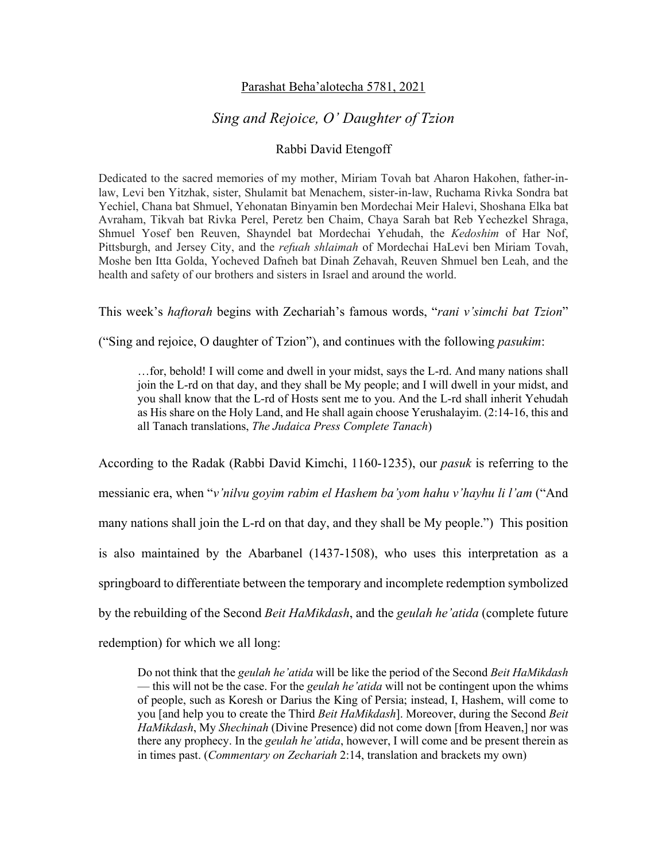## Parashat Beha'alotecha 5781, 2021

## *Sing and Rejoice, O' Daughter of Tzion*

## Rabbi David Etengoff

Dedicated to the sacred memories of my mother, Miriam Tovah bat Aharon Hakohen, father-inlaw, Levi ben Yitzhak, sister, Shulamit bat Menachem, sister-in-law, Ruchama Rivka Sondra bat Yechiel, Chana bat Shmuel, Yehonatan Binyamin ben Mordechai Meir Halevi, Shoshana Elka bat Avraham, Tikvah bat Rivka Perel, Peretz ben Chaim, Chaya Sarah bat Reb Yechezkel Shraga, Shmuel Yosef ben Reuven, Shayndel bat Mordechai Yehudah, the *Kedoshim* of Har Nof, Pittsburgh, and Jersey City, and the *refuah shlaimah* of Mordechai HaLevi ben Miriam Tovah, Moshe ben Itta Golda, Yocheved Dafneh bat Dinah Zehavah, Reuven Shmuel ben Leah, and the health and safety of our brothers and sisters in Israel and around the world.

This week's *haftorah* begins with Zechariah's famous words, "*rani v'simchi bat Tzion*"

("Sing and rejoice, O daughter of Tzion"), and continues with the following *pasukim*:

…for, behold! I will come and dwell in your midst, says the L-rd. And many nations shall join the L-rd on that day, and they shall be My people; and I will dwell in your midst, and you shall know that the L-rd of Hosts sent me to you. And the L-rd shall inherit Yehudah as His share on the Holy Land, and He shall again choose Yerushalayim. (2:14-16, this and all Tanach translations, *The Judaica Press Complete Tanach*)

According to the Radak (Rabbi David Kimchi, 1160-1235), our *pasuk* is referring to the messianic era, when "*v'nilvu goyim rabim el Hashem ba'yom hahu v'hayhu li l'am* ("And many nations shall join the L-rd on that day, and they shall be My people.") This position is also maintained by the Abarbanel (1437-1508), who uses this interpretation as a springboard to differentiate between the temporary and incomplete redemption symbolized by the rebuilding of the Second *Beit HaMikdash*, and the *geulah he'atida* (complete future redemption) for which we all long:

Do not think that the *geulah he'atida* will be like the period of the Second *Beit HaMikdash*  — this will not be the case. For the *geulah he'atida* will not be contingent upon the whims of people, such as Koresh or Darius the King of Persia; instead, I, Hashem, will come to you [and help you to create the Third *Beit HaMikdash*]. Moreover, during the Second *Beit HaMikdash*, My *Shechinah* (Divine Presence) did not come down [from Heaven,] nor was there any prophecy. In the *geulah he'atida*, however, I will come and be present therein as in times past. (*Commentary on Zechariah* 2:14, translation and brackets my own)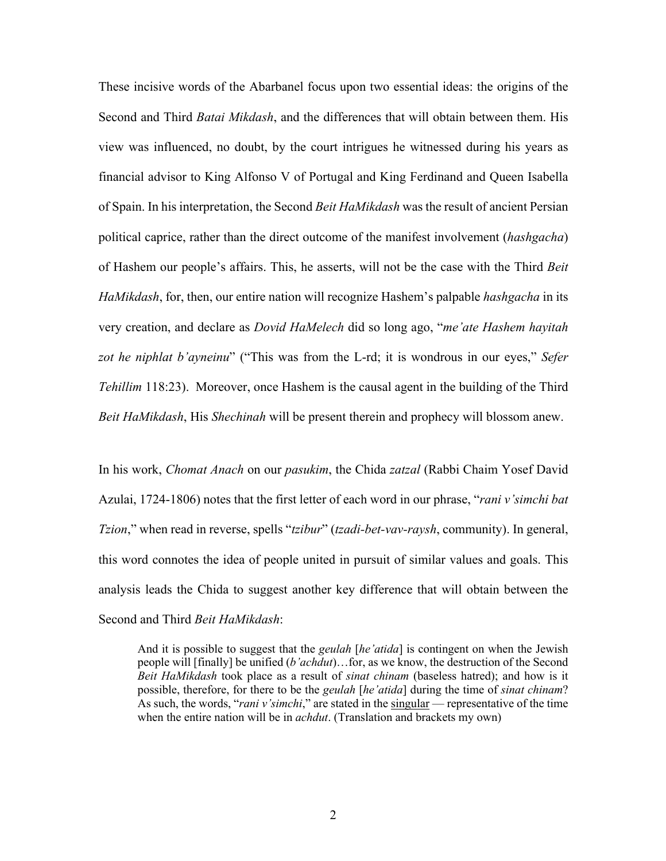These incisive words of the Abarbanel focus upon two essential ideas: the origins of the Second and Third *Batai Mikdash*, and the differences that will obtain between them. His view was influenced, no doubt, by the court intrigues he witnessed during his years as financial advisor to King Alfonso V of Portugal and King Ferdinand and Queen Isabella of Spain. In his interpretation, the Second *Beit HaMikdash* was the result of ancient Persian political caprice, rather than the direct outcome of the manifest involvement (*hashgacha*) of Hashem our people's affairs. This, he asserts, will not be the case with the Third *Beit HaMikdash*, for, then, our entire nation will recognize Hashem's palpable *hashgacha* in its very creation, and declare as *Dovid HaMelech* did so long ago, "*me'ate Hashem hayitah zot he niphlat b'ayneinu*" ("This was from the L-rd; it is wondrous in our eyes," *Sefer Tehillim* 118:23). Moreover, once Hashem is the causal agent in the building of the Third *Beit HaMikdash*, His *Shechinah* will be present therein and prophecy will blossom anew.

In his work, *Chomat Anach* on our *pasukim*, the Chida *zatzal* (Rabbi Chaim Yosef David Azulai, 1724-1806) notes that the first letter of each word in our phrase, "*rani v'simchi bat Tzion*," when read in reverse, spells "*tzibur*" (*tzadi-bet-vav-raysh*, community). In general, this word connotes the idea of people united in pursuit of similar values and goals. This analysis leads the Chida to suggest another key difference that will obtain between the Second and Third *Beit HaMikdash*:

And it is possible to suggest that the *geulah* [*he'atida*] is contingent on when the Jewish people will [finally] be unified (*b'achdut*)…for, as we know, the destruction of the Second *Beit HaMikdash* took place as a result of *sinat chinam* (baseless hatred); and how is it possible, therefore, for there to be the *geulah* [*he'atida*] during the time of *sinat chinam*? As such, the words, "*rani v'simchi*," are stated in the singular — representative of the time when the entire nation will be in *achdut*. (Translation and brackets my own)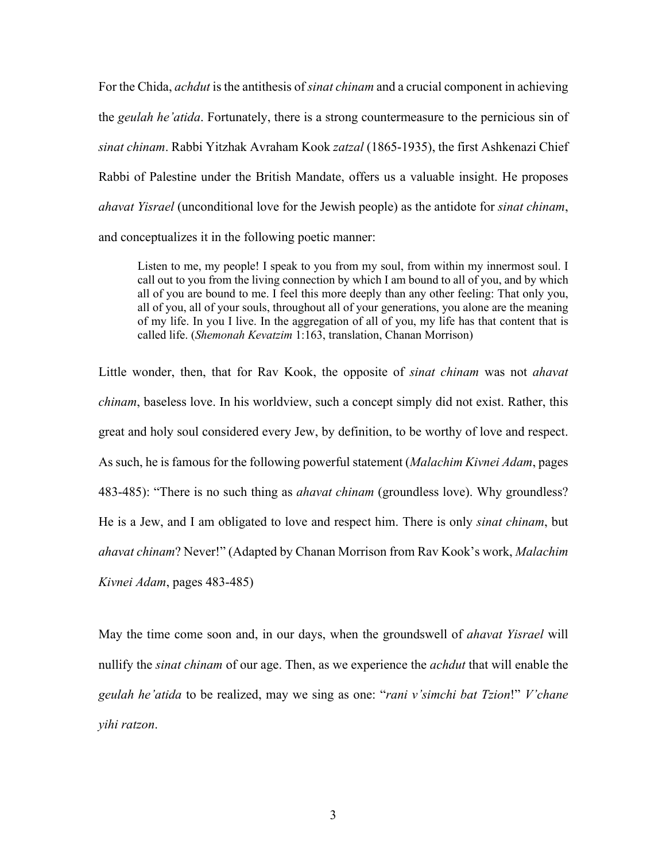For the Chida, *achdut* is the antithesis of *sinat chinam* and a crucial component in achieving the *geulah he'atida*. Fortunately, there is a strong countermeasure to the pernicious sin of *sinat chinam*. Rabbi Yitzhak Avraham Kook *zatzal* (1865-1935), the first Ashkenazi Chief Rabbi of Palestine under the British Mandate, offers us a valuable insight. He proposes *ahavat Yisrael* (unconditional love for the Jewish people) as the antidote for *sinat chinam*, and conceptualizes it in the following poetic manner:

Listen to me, my people! I speak to you from my soul, from within my innermost soul. I call out to you from the living connection by which I am bound to all of you, and by which all of you are bound to me. I feel this more deeply than any other feeling: That only you, all of you, all of your souls, throughout all of your generations, you alone are the meaning of my life. In you I live. In the aggregation of all of you, my life has that content that is called life. (*Shemonah Kevatzim* 1:163, translation, Chanan Morrison)

Little wonder, then, that for Rav Kook, the opposite of *sinat chinam* was not *ahavat chinam*, baseless love. In his worldview, such a concept simply did not exist. Rather, this great and holy soul considered every Jew, by definition, to be worthy of love and respect. As such, he is famous for the following powerful statement (*Malachim Kivnei Adam*, pages 483-485): "There is no such thing as *ahavat chinam* (groundless love). Why groundless? He is a Jew, and I am obligated to love and respect him. There is only *sinat chinam*, but *ahavat chinam*? Never!" (Adapted by Chanan Morrison from Rav Kook's work, *Malachim Kivnei Adam*, pages 483-485)

May the time come soon and, in our days, when the groundswell of *ahavat Yisrael* will nullify the *sinat chinam* of our age. Then, as we experience the *achdut* that will enable the *geulah he'atida* to be realized, may we sing as one: "*rani v'simchi bat Tzion*!" *V'chane yihi ratzon*.